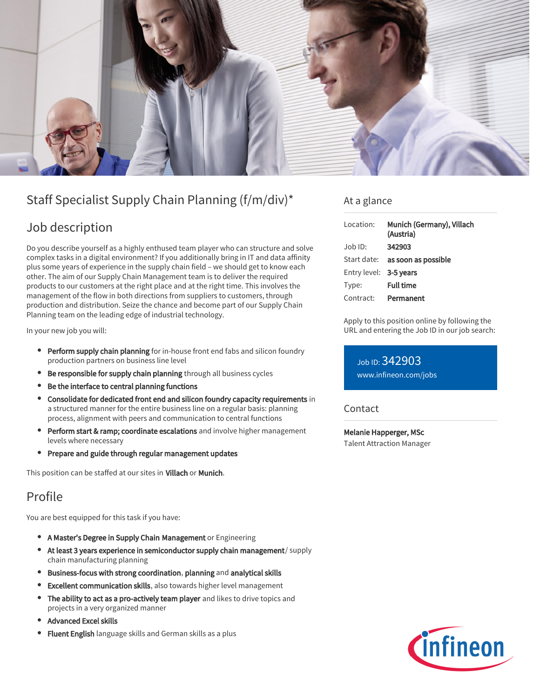

# Staff Specialist Supply Chain Planning (f/m/div)\*

# Job description

Do you describe yourself as a highly enthused team player who can structure and solve complex tasks in a digital environment? If you additionally bring in IT and data affinity plus some years of experience in the supply chain field – we should get to know each other. The aim of our Supply Chain Management team is to deliver the required products to our customers at the right place and at the right time. This involves the management of the flow in both directions from suppliers to customers, through production and distribution. Seize the chance and become part of our Supply Chain Planning team on the leading edge of industrial technology.

In your new job you will:

- **Perform supply chain planning** for in-house front end fabs and silicon foundry production partners on business line level
- Be responsible for supply chain planning through all business cycles
- Be the interface to central planning functions
- Consolidate for dedicated front end and silicon foundry capacity requirements in a structured manner for the entire business line on a regular basis: planning process, alignment with peers and communication to central functions
- **Perform start & ramp; coordinate escalations** and involve higher management levels where necessary
- Prepare and guide through regular management updates

This position can be staffed at our sites in Villach or Munich.

# Profile

You are best equipped for this task if you have:

- A Master's Degree in Supply Chain Management or Engineering
- At least 3 years experience in semiconductor supply chain management/ supply chain manufacturing planning
- Business-focus with strong coordination, planning and analytical skills
- Excellent communication skills, also towards higher level management
- The ability to act as a pro-actively team player and likes to drive topics and projects in a very organized manner
- Advanced Excel skills
- Fluent English language skills and German skills as a plus

### At a glance

| Location:              | Munich (Germany), Villach<br>(Austria) |
|------------------------|----------------------------------------|
| $Job$ ID:              | 342903                                 |
| Start date:            | as soon as possible                    |
| Entry level: 3-5 years |                                        |
| Type:                  | <b>Full time</b>                       |
| Contract:              | Permanent                              |

Apply to this position online by following the URL and entering the Job ID in our job search:

### Job ID: 342903

[www.infineon.com/jobs](https://www.infineon.com/jobs)

#### Contact

Melanie Happerger, MSc Talent Attraction Manager

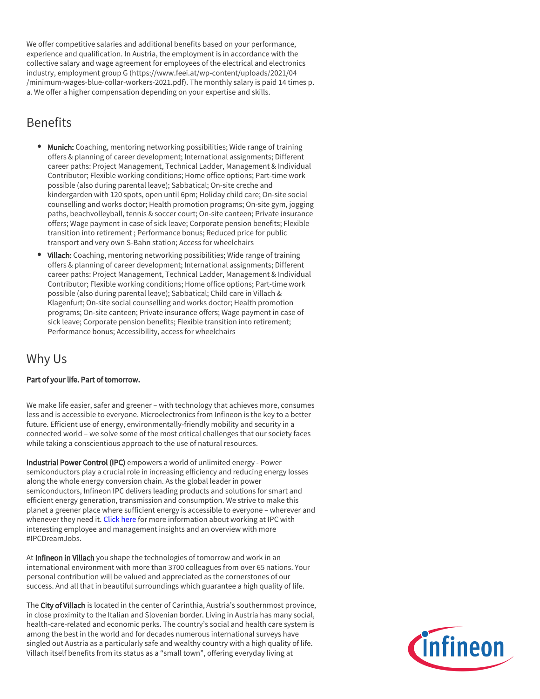We offer competitive salaries and additional benefits based on your performance, experience and qualification. In Austria, the employment is in accordance with the collective salary and wage agreement for employees of the electrical and electronics industry, employment group G (https://www.feei.at/wp-content/uploads/2021/04 /minimum-wages-blue-collar-workers-2021.pdf). The monthly salary is paid 14 times p. a. We offer a higher compensation depending on your expertise and skills.

# **Benefits**

- Munich: Coaching, mentoring networking possibilities; Wide range of training offers & planning of career development; International assignments; Different career paths: Project Management, Technical Ladder, Management & Individual Contributor; Flexible working conditions; Home office options; Part-time work possible (also during parental leave); Sabbatical; On-site creche and kindergarden with 120 spots, open until 6pm; Holiday child care; On-site social counselling and works doctor; Health promotion programs; On-site gym, jogging paths, beachvolleyball, tennis & soccer court; On-site canteen; Private insurance offers; Wage payment in case of sick leave; Corporate pension benefits; Flexible transition into retirement ; Performance bonus; Reduced price for public transport and very own S-Bahn station; Access for wheelchairs
- Villach: Coaching, mentoring networking possibilities; Wide range of training offers & planning of career development; International assignments; Different career paths: Project Management, Technical Ladder, Management & Individual Contributor; Flexible working conditions; Home office options; Part-time work possible (also during parental leave); Sabbatical; Child care in Villach & Klagenfurt; On-site social counselling and works doctor; Health promotion programs; On-site canteen; Private insurance offers; Wage payment in case of sick leave; Corporate pension benefits; Flexible transition into retirement; Performance bonus; Accessibility, access for wheelchairs

# Why Us

#### Part of your life. Part of tomorrow.

We make life easier, safer and greener – with technology that achieves more, consumes less and is accessible to everyone. Microelectronics from Infineon is the key to a better future. Efficient use of energy, environmentally-friendly mobility and security in a connected world – we solve some of the most critical challenges that our society faces while taking a conscientious approach to the use of natural resources.

Industrial Power Control (IPC) empowers a world of unlimited energy - Power semiconductors play a crucial role in increasing efficiency and reducing energy losses along the whole energy conversion chain. As the global leader in power semiconductors, Infineon IPC delivers leading products and solutions for smart and efficient energy generation, transmission and consumption. We strive to make this planet a greener place where sufficient energy is accessible to everyone – wherever and whenever they need it. [Click here](https://www.infineon.com/cms/en/careers/working-at-infineon/ipcdreamjob/) for more information about working at IPC with interesting employee and management insights and an overview with more #IPCDreamJobs.

At Infineon in Villach you shape the technologies of tomorrow and work in an international environment with more than 3700 colleagues from over 65 nations. Your personal contribution will be valued and appreciated as the cornerstones of our success. And all that in beautiful surroundings which guarantee a high quality of life.

The City of Villach is located in the center of Carinthia, Austria's southernmost province, in close proximity to the Italian and Slovenian border. Living in Austria has many social, health-care-related and economic perks. The country's social and health care system is among the best in the world and for decades numerous international surveys have singled out Austria as a particularly safe and wealthy country with a high quality of life. Villach itself benefits from its status as a "small town", offering everyday living at